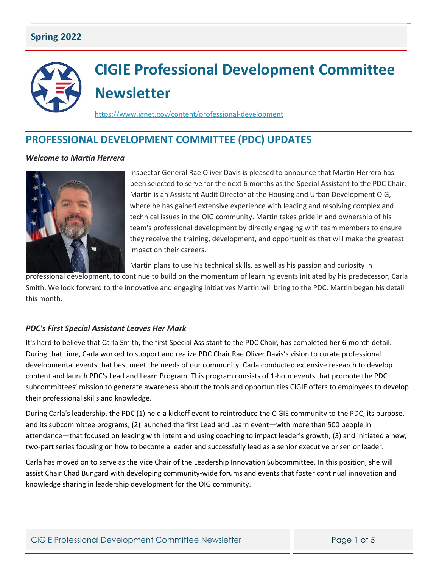## **Spring 2022**

# **CIGIE Professional Development Committee Newsletter**

<https://www.ignet.gov/content/professional-development>

# **PROFESSIONAL DEVELOPMENT COMMITTEE (PDC) UPDATES**

#### *Welcome to Martin Herrera*



Inspector General Rae Oliver Davis is pleased to announce that Martin Herrera has been selected to serve for the next 6 months as the Special Assistant to the PDC Chair. Martin is an Assistant Audit Director at the Housing and Urban Development OIG, where he has gained extensive experience with leading and resolving complex and technical issues in the OIG community. Martin takes pride in and ownership of his team's professional development by directly engaging with team members to ensure they receive the training, development, and opportunities that will make the greatest impact on their careers.

Martin plans to use his technical skills, as well as his passion and curiosity in

professional development, to continue to build on the momentum of learning events initiated by his predecessor, Carla Smith. We look forward to the innovative and engaging initiatives Martin will bring to the PDC. Martin began his detail this month.

#### *PDC's First Special Assistant Leaves Her Mark*

It's hard to believe that Carla Smith, the first Special Assistant to the PDC Chair, has completed her 6-month detail. During that time, Carla worked to support and realize PDC Chair Rae Oliver Davis's vision to curate professional developmental events that best meet the needs of our community. Carla conducted extensive research to develop content and launch PDC's Lead and Learn Program. This program consists of 1-hour events that promote the PDC subcommittees' mission to generate awareness about the tools and opportunities CIGIE offers to employees to develop their professional skills and knowledge.

During Carla's leadership, the PDC (1) held a kickoff event to reintroduce the CIGIE community to the PDC, its purpose, and its subcommittee programs; (2) launched the first Lead and Learn event—with more than 500 people in attendance—that focused on leading with intent and using coaching to impact leader's growth; (3) and initiated a new, two-part series focusing on how to become a leader and successfully lead as a senior executive or senior leader.

Carla has moved on to serve as the Vice Chair of the Leadership Innovation Subcommittee. In this position, she will assist Chair Chad Bungard with developing community-wide forums and events that foster continual innovation and knowledge sharing in leadership development for the OIG community.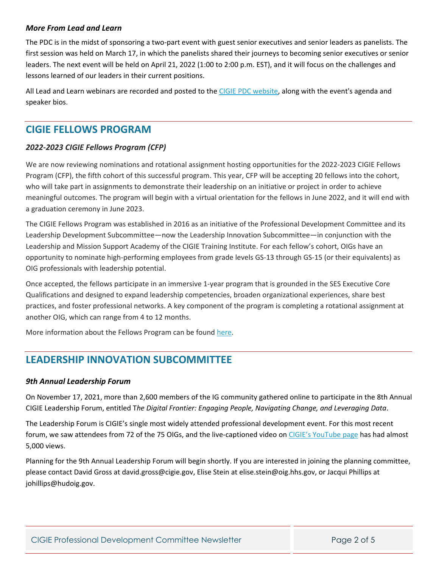#### *More From Lead and Learn*

The PDC is in the midst of sponsoring a two-part event with guest senior executives and senior leaders as panelists. The first session was held on March 17, in which the panelists shared their journeys to becoming senior executives or senior leaders. The next event will be held on April 21, 2022 (1:00 to 2:00 p.m. EST), and it will focus on the challenges and lessons learned of our leaders in their current positions.

All Lead and Learn webinars are recorded and posted to the [CIGIE PDC website,](https://www.ignet.gov/content/professional-development) along with the event's agenda and speaker bios.

# **CIGIE FELLOWS PROGRAM**

## *2022-2023 CIGIE Fellows Program (CFP)*

We are now reviewing nominations and rotational assignment hosting opportunities for the 2022-2023 CIGIE Fellows Program (CFP), the fifth cohort of this successful program. This year, CFP will be accepting 20 fellows into the cohort, who will take part in assignments to demonstrate their leadership on an initiative or project in order to achieve meaningful outcomes. The program will begin with a virtual orientation for the fellows in June 2022, and it will end with a graduation ceremony in June 2023.

The CIGIE Fellows Program was established in 2016 as an initiative of the Professional Development Committee and its Leadership Development Subcommittee—now the Leadership Innovation Subcommittee—in conjunction with the Leadership and Mission Support Academy of the CIGIE Training Institute. For each fellow's cohort, OIGs have an opportunity to nominate high-performing employees from grade levels GS-13 through GS-15 (or their equivalents) as OIG professionals with leadership potential.

Once accepted, the fellows participate in an immersive 1-year program that is grounded in the SES Executive Core Qualifications and designed to expand leadership competencies, broaden organizational experiences, share best practices, and foster professional networks. A key component of the program is completing a rotational assignment at another OIG, which can range from 4 to 12 months.

More information about the Fellows Program can be found [here.](https://www.ignet.gov/content/fellowship-program)

# **LEADERSHIP INNOVATION SUBCOMMITTEE**

#### *9th Annual Leadership Forum*

On November 17, 2021, more than 2,600 members of the IG community gathered online to participate in the 8th Annual CIGIE Leadership Forum, entitled T*he Digital Frontier: Engaging People, Navigating Change, and Leveraging Data*.

The Leadership Forum is CIGIE's single most widely attended professional development event. For this most recent forum, we saw attendees from 72 of the 75 OIGs, and the live-captioned video on [CIGIE's YouTube page](https://www.youtube.com/channel/UCdcuFD92zSZ3GEH1Nq5m9BQ) has had almost 5,000 views.

Planning for the 9th Annual Leadership Forum will begin shortly. If you are interested in joining the planning committee, please contact David Gross at david.gross@cigie.gov, Elise Stein at elise.stein@oig.hhs.gov, or Jacqui Phillips at johillips@hudoig.gov.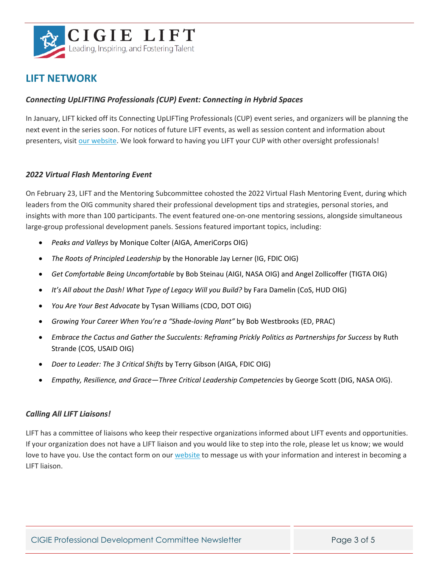

## **LIFT NETWORK**

#### *Connecting UpLIFTING Professionals (CUP) Event: Connecting in Hybrid Spaces*

In January, LIFT kicked off its Connecting UpLIFTing Professionals (CUP) event series, and organizers will be planning the next event in the series soon. For notices of future LIFT events, as well as session content and information about presenters, visi[t our website.](https://www.ignet.gov/lift) We look forward to having you LIFT your CUP with other oversight professionals!

#### *2022 Virtual Flash Mentoring Event*

On February 23, LIFT and the Mentoring Subcommittee cohosted the 2022 Virtual Flash Mentoring Event, during which leaders from the OIG community shared their professional development tips and strategies, personal stories, and insights with more than 100 participants. The event featured one-on-one mentoring sessions, alongside simultaneous large-group professional development panels. Sessions featured important topics, including:

- *Peaks and Valleys* by Monique Colter (AIGA, AmeriCorps OIG)
- *The Roots of Principled Leadership* by the Honorable Jay Lerner (IG, FDIC OIG)
- *Get Comfortable Being Uncomfortable* by Bob Steinau (AIGI, NASA OIG) and Angel Zollicoffer (TIGTA OIG)
- *It's All about the Dash! What Type of Legacy Will you Build?* by Fara Damelin (CoS, HUD OIG)
- *You Are Your Best Advocate* by Tysan Williams (CDO, DOT OIG)
- *Growing Your Career When You're a "Shade-loving Plant"* by Bob Westbrooks (ED, PRAC)
- *Embrace the Cactus and Gather the Succulents: Reframing Prickly Politics as Partnerships for Success* by Ruth Strande (COS, USAID OIG)
- *Doer to Leader: The 3 Critical Shifts* by Terry Gibson (AIGA, FDIC OIG)
- *Empathy, Resilience, and Grace—Three Critical Leadership Competencies* by George Scott (DIG, NASA OIG).

#### *Calling All LIFT Liaisons!*

LIFT has a committee of liaisons who keep their respective organizations informed about LIFT events and opportunities. If your organization does not have a LIFT liaison and you would like to step into the role, please let us know; we would love to have you. Use the contact form on our [website](https://www.ignet.gov/lift) to message us with your information and interest in becoming a LIFT liaison.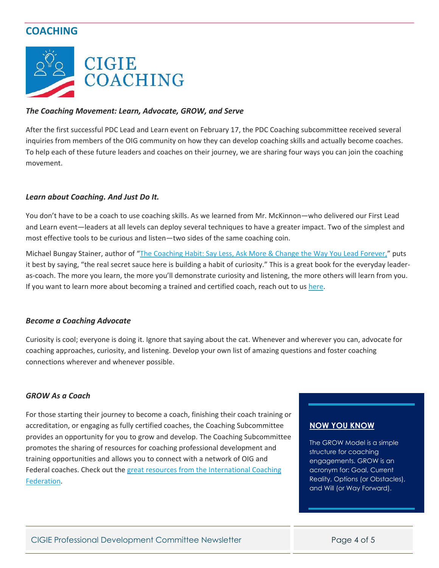# **COACHING**



#### *The Coaching Movement: Learn, Advocate, GROW, and Serve*

After the first successful PDC Lead and Learn event on February 17, the PDC Coaching subcommittee received several inquiries from members of the OIG community on how they can develop coaching skills and actually become coaches. To help each of these future leaders and coaches on their journey, we are sharing four ways you can join the coaching movement.

#### *Learn about Coaching. And Just Do It.*

You don't have to be a coach to use coaching skills. As we learned from Mr. McKinnon—who delivered our First Lead and Learn event—leaders at all levels can deploy several techniques to have a greater impact. Two of the simplest and most effective tools to be curious and listen—two sides of the same coaching coin.

Michael Bungay Stainer, author of "[The Coaching Habit: Say Less, Ask More & Change the Way You Lead Forever,](https://www.amazon.com/Coaching-Habit-Less-Change-Forever/dp/0978440749)" puts it best by saying, "the real secret sauce here is building a habit of curiosity." This is a great book for the everyday leaderas-coach. The more you learn, the more you'll demonstrate curiosity and listening, the more others will learn from you. If you want to learn more about becoming a trained and certified coach, reach out to us [here.](https://www.ignet.gov/content/coaching-contact-form)

#### *Become a Coaching Advocate*

Curiosity is cool; everyone is doing it. Ignore that saying about the cat. Whenever and wherever you can, advocate for coaching approaches, curiosity, and listening. Develop your own list of amazing questions and foster coaching connections wherever and whenever possible.

#### *GROW As a Coach*

For those starting their journey to become a coach, finishing their coach training or accreditation, or engaging as fully certified coaches, the Coaching Subcommittee provides an opportunity for you to grow and develop. The Coaching Subcommittee promotes the sharing of resources for coaching professional development and training opportunities and allows you to connect with a network of OIG and Federal coaches. Check out the [great resources from the International Coaching](https://learning.coachingfederation.org/)  [Federation.](https://learning.coachingfederation.org/)

## **NOW YOU KNOW**

The GROW Model is a simple structure for coaching engagements. GROW is an acronym for: Goal, Current Reality, Options (or Obstacles), and Will (or Way Forward).